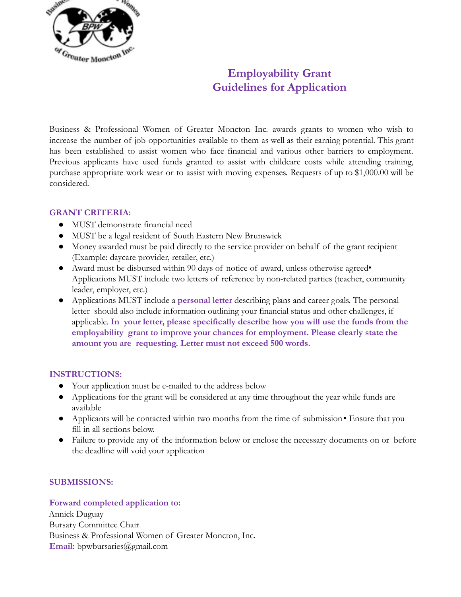

# **Employability Grant Guidelines for Application**

Business & Professional Women of Greater Moncton Inc. awards grants to women who wish to increase the number of job opportunities available to them as well as their earning potential. This grant has been established to assist women who face financial and various other barriers to employment. Previous applicants have used funds granted to assist with childcare costs while attending training, purchase appropriate work wear or to assist with moving expenses. Requests of up to \$1,000.00 will be considered.

## **GRANT CRITERIA:**

- MUST demonstrate financial need
- MUST be a legal resident of South Eastern New Brunswick
- Money awarded must be paid directly to the service provider on behalf of the grant recipient (Example: daycare provider, retailer, etc.)
- Award must be disbursed within 90 days of notice of award, unless otherwise agreed• Applications MUST include two letters of reference by non-related parties (teacher, community leader, employer, etc.)
- Applications MUST include a **personal letter** describing plans and career goals. The personal letter should also include information outlining your financial status and other challenges, if applicable. **In your letter, please specifically describe how you will use the funds from the employability grant to improve your chances for employment. Please clearly state the amount you are requesting. Letter must not exceed 500 words.**

## **INSTRUCTIONS:**

- Your application must be e-mailed to the address below
- Applications for the grant will be considered at any time throughout the year while funds are available
- Applicants will be contacted within two months from the time of submission Ensure that you fill in all sections below.
- Failure to provide any of the information below or enclose the necessary documents on or before the deadline will void your application

## **SUBMISSIONS:**

#### **Forward completed application to:**

Annick Duguay Bursary Committee Chair Business & Professional Women of Greater Moncton, Inc. **Email:** bpwbursaries@gmail.com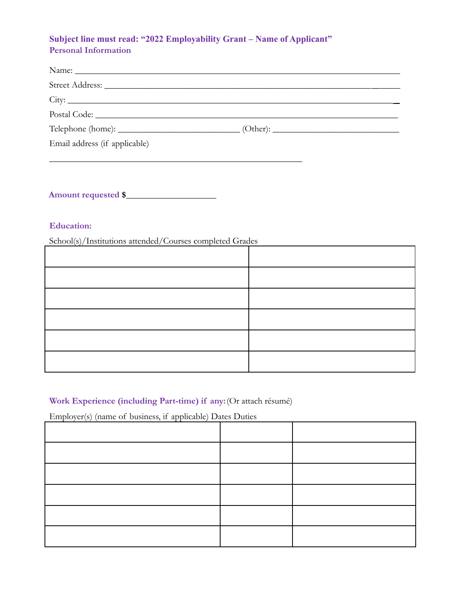# **Subject line must read: "2022 Employability Grant – Name of Applicant" Personal Information**

| Name:                         |  |
|-------------------------------|--|
|                               |  |
|                               |  |
|                               |  |
|                               |  |
| Email address (if applicable) |  |
|                               |  |

**Amount requested \$**\_\_\_\_\_\_\_\_\_\_\_\_\_\_\_\_\_\_\_\_

## **Education:**

School(s)/Institutions attended/Courses completed Grades

# **Work Experience (including Part-time) if any:**(Or attach résumé)

Employer(s) (name of business, if applicable) Dates Duties